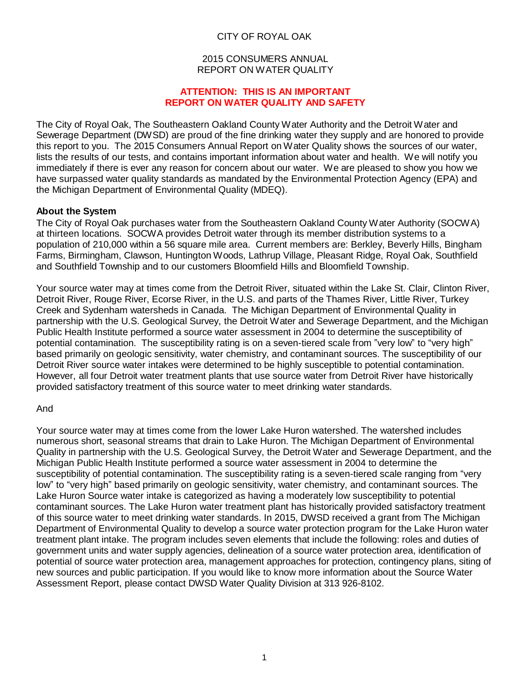# CITY OF ROYAL OAK

#### 2015 CONSUMERS ANNUAL REPORT ON WATER QUALITY

#### **ATTENTION: THIS IS AN IMPORTANT REPORT ON WATER QUALITY AND SAFETY**

The City of Royal Oak, The Southeastern Oakland County Water Authority and the Detroit Water and Sewerage Department (DWSD) are proud of the fine drinking water they supply and are honored to provide this report to you. The 2015 Consumers Annual Report on Water Quality shows the sources of our water, lists the results of our tests, and contains important information about water and health. We will notify you immediately if there is ever any reason for concern about our water. We are pleased to show you how we have surpassed water quality standards as mandated by the Environmental Protection Agency (EPA) and the Michigan Department of Environmental Quality (MDEQ).

# **About the System**

The City of Royal Oak purchases water from the Southeastern Oakland County Water Authority (SOCWA) at thirteen locations. SOCWA provides Detroit water through its member distribution systems to a population of 210,000 within a 56 square mile area. Current members are: Berkley, Beverly Hills, Bingham Farms, Birmingham, Clawson, Huntington Woods, Lathrup Village, Pleasant Ridge, Royal Oak, Southfield and Southfield Township and to our customers Bloomfield Hills and Bloomfield Township.

Your source water may at times come from the Detroit River, situated within the Lake St. Clair, Clinton River, Detroit River, Rouge River, Ecorse River, in the U.S. and parts of the Thames River, Little River, Turkey Creek and Sydenham watersheds in Canada. The Michigan Department of Environmental Quality in partnership with the U.S. Geological Survey, the Detroit Water and Sewerage Department, and the Michigan Public Health Institute performed a source water assessment in 2004 to determine the susceptibility of potential contamination. The susceptibility rating is on a seven-tiered scale from "very low" to "very high" based primarily on geologic sensitivity, water chemistry, and contaminant sources. The susceptibility of our Detroit River source water intakes were determined to be highly susceptible to potential contamination. However, all four Detroit water treatment plants that use source water from Detroit River have historically provided satisfactory treatment of this source water to meet drinking water standards.

# And

Your source water may at times come from the lower Lake Huron watershed. The watershed includes numerous short, seasonal streams that drain to Lake Huron. The Michigan Department of Environmental Quality in partnership with the U.S. Geological Survey, the Detroit Water and Sewerage Department, and the Michigan Public Health Institute performed a source water assessment in 2004 to determine the susceptibility of potential contamination. The susceptibility rating is a seven-tiered scale ranging from "very low" to "very high" based primarily on geologic sensitivity, water chemistry, and contaminant sources. The Lake Huron Source water intake is categorized as having a moderately low susceptibility to potential contaminant sources. The Lake Huron water treatment plant has historically provided satisfactory treatment of this source water to meet drinking water standards. In 2015, DWSD received a grant from The Michigan Department of Environmental Quality to develop a source water protection program for the Lake Huron water treatment plant intake. The program includes seven elements that include the following: roles and duties of government units and water supply agencies, delineation of a source water protection area, identification of potential of source water protection area, management approaches for protection, contingency plans, siting of new sources and public participation. If you would like to know more information about the Source Water Assessment Report, please contact DWSD Water Quality Division at 313 926-8102.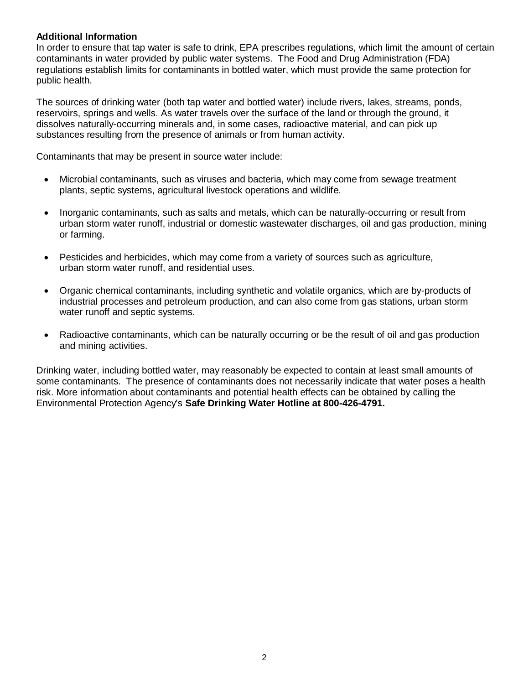# **Additional Information**

In order to ensure that tap water is safe to drink, EPA prescribes regulations, which limit the amount of certain contaminants in water provided by public water systems. The Food and Drug Administration (FDA) regulations establish limits for contaminants in bottled water, which must provide the same protection for public health.

The sources of drinking water (both tap water and bottled water) include rivers, lakes, streams, ponds, reservoirs, springs and wells. As water travels over the surface of the land or through the ground, it dissolves naturally-occurring minerals and, in some cases, radioactive material, and can pick up substances resulting from the presence of animals or from human activity.

Contaminants that may be present in source water include:

- Microbial contaminants, such as viruses and bacteria, which may come from sewage treatment plants, septic systems, agricultural livestock operations and wildlife.
- Inorganic contaminants, such as salts and metals, which can be naturally-occurring or result from urban storm water runoff, industrial or domestic wastewater discharges, oil and gas production, mining or farming.
- Pesticides and herbicides, which may come from a variety of sources such as agriculture, urban storm water runoff, and residential uses.
- Organic chemical contaminants, including synthetic and volatile organics, which are by-products of industrial processes and petroleum production, and can also come from gas stations, urban storm water runoff and septic systems.
- Radioactive contaminants, which can be naturally occurring or be the result of oil and gas production and mining activities.

Drinking water, including bottled water, may reasonably be expected to contain at least small amounts of some contaminants. The presence of contaminants does not necessarily indicate that water poses a health risk. More information about contaminants and potential health effects can be obtained by calling the Environmental Protection Agency's **Safe Drinking Water Hotline at 800-426-4791.**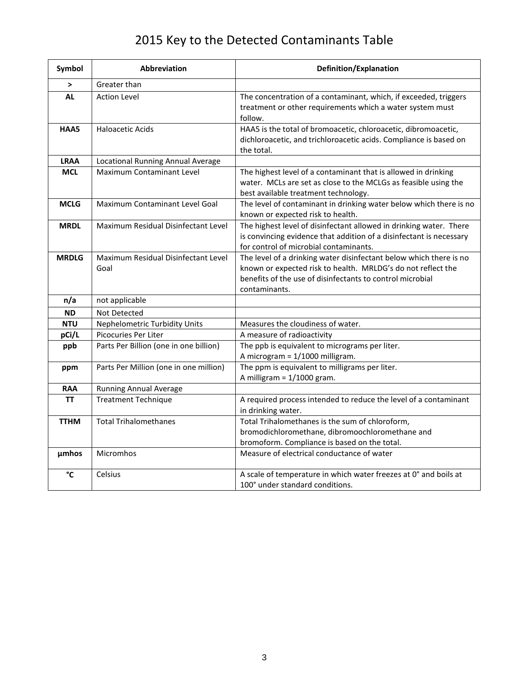# 2015 Key to the Detected Contaminants Table

| Symbol       | Abbreviation                                | Definition/Explanation                                                                                                                                                                                           |
|--------------|---------------------------------------------|------------------------------------------------------------------------------------------------------------------------------------------------------------------------------------------------------------------|
| $\geq$       | Greater than                                |                                                                                                                                                                                                                  |
| <b>AL</b>    | <b>Action Level</b>                         | The concentration of a contaminant, which, if exceeded, triggers<br>treatment or other requirements which a water system must<br>follow.                                                                         |
| HAA5         | <b>Haloacetic Acids</b>                     | HAA5 is the total of bromoacetic, chloroacetic, dibromoacetic,<br>dichloroacetic, and trichloroacetic acids. Compliance is based on<br>the total.                                                                |
| <b>LRAA</b>  | Locational Running Annual Average           |                                                                                                                                                                                                                  |
| <b>MCL</b>   | <b>Maximum Contaminant Level</b>            | The highest level of a contaminant that is allowed in drinking<br>water. MCLs are set as close to the MCLGs as feasible using the<br>best available treatment technology.                                        |
| <b>MCLG</b>  | Maximum Contaminant Level Goal              | The level of contaminant in drinking water below which there is no<br>known or expected risk to health.                                                                                                          |
| <b>MRDL</b>  | Maximum Residual Disinfectant Level         | The highest level of disinfectant allowed in drinking water. There<br>is convincing evidence that addition of a disinfectant is necessary<br>for control of microbial contaminants.                              |
| <b>MRDLG</b> | Maximum Residual Disinfectant Level<br>Goal | The level of a drinking water disinfectant below which there is no<br>known or expected risk to health. MRLDG's do not reflect the<br>benefits of the use of disinfectants to control microbial<br>contaminants. |
| n/a          | not applicable                              |                                                                                                                                                                                                                  |
| <b>ND</b>    | Not Detected                                |                                                                                                                                                                                                                  |
| <b>NTU</b>   | <b>Nephelometric Turbidity Units</b>        | Measures the cloudiness of water.                                                                                                                                                                                |
| pCi/L        | Picocuries Per Liter                        | A measure of radioactivity                                                                                                                                                                                       |
| ppb          | Parts Per Billion (one in one billion)      | The ppb is equivalent to micrograms per liter.<br>A microgram = 1/1000 milligram.                                                                                                                                |
| ppm          | Parts Per Million (one in one million)      | The ppm is equivalent to milligrams per liter.<br>A milligram = $1/1000$ gram.                                                                                                                                   |
| <b>RAA</b>   | <b>Running Annual Average</b>               |                                                                                                                                                                                                                  |
| ΤT           | <b>Treatment Technique</b>                  | A required process intended to reduce the level of a contaminant<br>in drinking water.                                                                                                                           |
| <b>TTHM</b>  | <b>Total Trihalomethanes</b>                | Total Trihalomethanes is the sum of chloroform,<br>bromodichloromethane, dibromoochloromethane and<br>bromoform. Compliance is based on the total.                                                               |
| <b>µmhos</b> | Micromhos                                   | Measure of electrical conductance of water                                                                                                                                                                       |
| °C           | Celsius                                     | A scale of temperature in which water freezes at 0° and boils at<br>100° under standard conditions.                                                                                                              |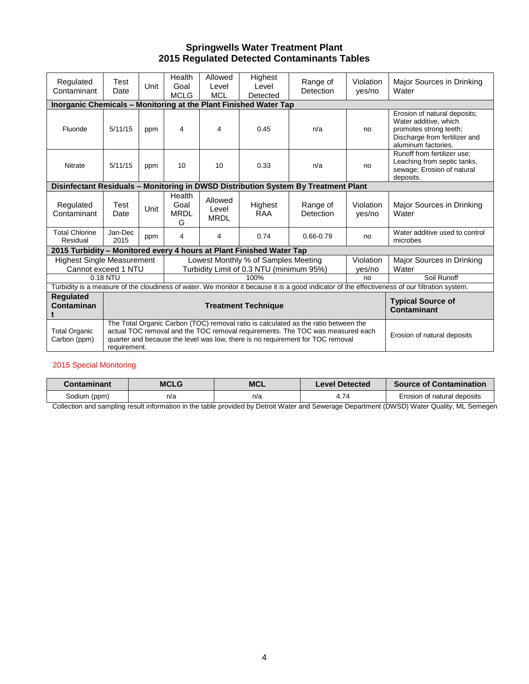#### **Springwells Water Treatment Plant 2015 Regulated Detected Contaminants Tables**

| Regulated<br>Contaminant                                             | Test<br>Date    | Unit | Health<br>Goal<br><b>MCLG</b>                                                                                                                                                                                                                           | Allowed<br>Level<br><b>MCL</b>  | Highest<br>Level<br>Detected                                                    | Range of<br>Detection                                                              | Violation<br>yes/no | Major Sources in Drinking<br>Water                                                                                                             |  |  |
|----------------------------------------------------------------------|-----------------|------|---------------------------------------------------------------------------------------------------------------------------------------------------------------------------------------------------------------------------------------------------------|---------------------------------|---------------------------------------------------------------------------------|------------------------------------------------------------------------------------|---------------------|------------------------------------------------------------------------------------------------------------------------------------------------|--|--|
| Inorganic Chemicals - Monitoring at the Plant Finished Water Tap     |                 |      |                                                                                                                                                                                                                                                         |                                 |                                                                                 |                                                                                    |                     |                                                                                                                                                |  |  |
| Fluoride                                                             | 5/11/15         | ppm  | 4                                                                                                                                                                                                                                                       | 4                               | 0.45                                                                            | n/a                                                                                | no                  | Erosion of natural deposits;<br>Water additive, which<br>promotes strong teeth;<br>Discharge from fertilizer and<br>aluminum factories.        |  |  |
| <b>Nitrate</b>                                                       | 5/11/15         | ppm  | 10                                                                                                                                                                                                                                                      | 10                              | 0.33                                                                            | n/a                                                                                | no                  | Runoff from fertilizer use:<br>Leaching from septic tanks,<br>sewage; Erosion of natural<br>deposits.                                          |  |  |
|                                                                      |                 |      |                                                                                                                                                                                                                                                         |                                 |                                                                                 | Disinfectant Residuals - Monitoring in DWSD Distribution System By Treatment Plant |                     |                                                                                                                                                |  |  |
| Regulated<br>Contaminant                                             | Test<br>Date    | Unit | Health<br>Goal<br><b>MRDL</b><br>G                                                                                                                                                                                                                      | Allowed<br>Level<br><b>MRDL</b> | Highest<br><b>RAA</b>                                                           | Range of<br>Detection                                                              | Violation<br>yes/no | Major Sources in Drinking<br>Water                                                                                                             |  |  |
| <b>Total Chlorine</b><br>Residual                                    | Jan-Dec<br>2015 | ppm  | 4                                                                                                                                                                                                                                                       | 4                               | 0.74                                                                            | 0.66-0.79                                                                          | no                  | Water additive used to control<br>microbes                                                                                                     |  |  |
| 2015 Turbidity - Monitored every 4 hours at Plant Finished Water Tap |                 |      |                                                                                                                                                                                                                                                         |                                 |                                                                                 |                                                                                    |                     |                                                                                                                                                |  |  |
| <b>Highest Single Measurement</b><br>Cannot exceed 1 NTU             |                 |      |                                                                                                                                                                                                                                                         |                                 | Lowest Monthly % of Samples Meeting<br>Turbidity Limit of 0.3 NTU (minimum 95%) |                                                                                    | Violation<br>ves/no | Major Sources in Drinking<br>Water                                                                                                             |  |  |
|                                                                      | 0.18 NTU        |      |                                                                                                                                                                                                                                                         |                                 | 100%                                                                            |                                                                                    | no                  | Soil Runoff                                                                                                                                    |  |  |
|                                                                      |                 |      |                                                                                                                                                                                                                                                         |                                 |                                                                                 |                                                                                    |                     | Turbidity is a measure of the cloudiness of water. We monitor it because it is a good indicator of the effectiveness of our filtration system. |  |  |
| <b>Regulated</b><br>Contaminan                                       |                 |      |                                                                                                                                                                                                                                                         |                                 | <b>Typical Source of</b><br>Contaminant                                         |                                                                                    |                     |                                                                                                                                                |  |  |
| <b>Total Organic</b><br>Carbon (ppm)                                 | requirement.    |      | The Total Organic Carbon (TOC) removal ratio is calculated as the ratio between the<br>actual TOC removal and the TOC removal requirements. The TOC was measured each<br>quarter and because the level was low, there is no requirement for TOC removal |                                 | Erosion of natural deposits                                                     |                                                                                    |                     |                                                                                                                                                |  |  |

#### 2015 Special Monitoring

| $\mathcal L$ ontaminant $\mathcal L$ | MCLG | <b>MCL</b> | Level Detected | <b>Source of Contamination</b> |
|--------------------------------------|------|------------|----------------|--------------------------------|
| Sodium (ppm)                         | n/a  | n/a        | $+74$          | Erosion of natural deposits    |

Collection and sampling result information in the table provided by Detroit Water and Sewerage Department (DWSD) Water Quality, ML Semegen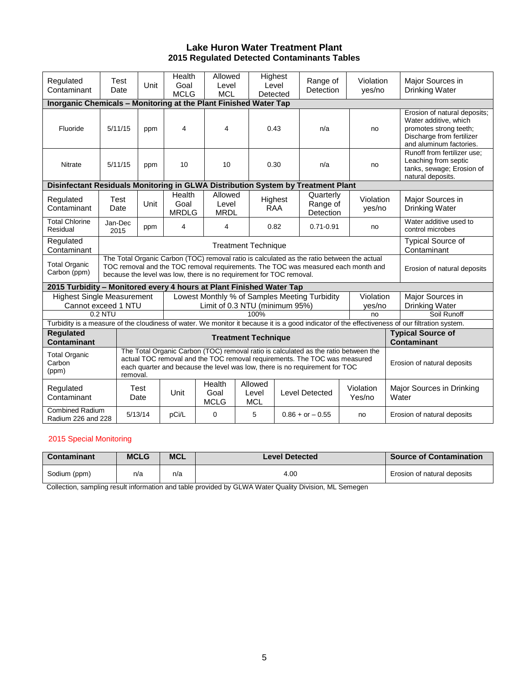#### **Lake Huron Water Treatment Plant 2015 Regulated Detected Contaminants Tables**

| Regulated<br>Contaminant                                                                                                                       | Test<br>Date                                                                                                                                                                                                                                                | Unit                                                                                                                                                                                                                                                   | Health<br>Goal<br><b>MCLG</b>  | Allowed<br>Level<br><b>MCL</b>  |                                               | Highest<br>Level<br>Detected | Range of<br><b>Detection</b>       | Violation<br>yes/no         |                                                | Major Sources in<br>Drinking Water                                                                                                      |  |
|------------------------------------------------------------------------------------------------------------------------------------------------|-------------------------------------------------------------------------------------------------------------------------------------------------------------------------------------------------------------------------------------------------------------|--------------------------------------------------------------------------------------------------------------------------------------------------------------------------------------------------------------------------------------------------------|--------------------------------|---------------------------------|-----------------------------------------------|------------------------------|------------------------------------|-----------------------------|------------------------------------------------|-----------------------------------------------------------------------------------------------------------------------------------------|--|
| Inorganic Chemicals - Monitoring at the Plant Finished Water Tap                                                                               |                                                                                                                                                                                                                                                             |                                                                                                                                                                                                                                                        |                                |                                 |                                               |                              |                                    |                             |                                                |                                                                                                                                         |  |
| Fluoride                                                                                                                                       | 5/11/15                                                                                                                                                                                                                                                     | ppm                                                                                                                                                                                                                                                    | $\overline{4}$                 | $\overline{\mathbf{4}}$         |                                               | 0.43                         | n/a                                | no                          |                                                | Erosion of natural deposits;<br>Water additive, which<br>promotes strong teeth;<br>Discharge from fertilizer<br>and aluminum factories. |  |
| Nitrate                                                                                                                                        | 5/11/15                                                                                                                                                                                                                                                     | ppm                                                                                                                                                                                                                                                    | 10                             | 10                              |                                               | 0.30                         | n/a                                | no                          |                                                | Runoff from fertilizer use;<br>Leaching from septic<br>tanks, sewage; Erosion of<br>natural deposits.                                   |  |
| Disinfectant Residuals Monitoring in GLWA Distribution System by Treatment Plant                                                               |                                                                                                                                                                                                                                                             |                                                                                                                                                                                                                                                        |                                |                                 |                                               |                              |                                    |                             |                                                |                                                                                                                                         |  |
| Regulated<br>Contaminant                                                                                                                       | Test<br>Date                                                                                                                                                                                                                                                | Unit                                                                                                                                                                                                                                                   | Health<br>Goal<br><b>MRDLG</b> | Allowed<br>Level<br><b>MRDL</b> |                                               | Highest<br><b>RAA</b>        | Quarterly<br>Range of<br>Detection | Violation<br>yes/no         |                                                | Major Sources in<br><b>Drinking Water</b>                                                                                               |  |
| <b>Total Chlorine</b><br>Residual                                                                                                              | Jan-Dec<br>2015                                                                                                                                                                                                                                             | ppm                                                                                                                                                                                                                                                    | 4                              | 4                               |                                               | 0.82                         | $0.71 - 0.91$                      | no                          |                                                | Water additive used to<br>control microbes                                                                                              |  |
| Regulated<br>Contaminant                                                                                                                       |                                                                                                                                                                                                                                                             | <b>Treatment Technique</b>                                                                                                                                                                                                                             |                                |                                 |                                               |                              |                                    |                             |                                                | <b>Typical Source of</b><br>Contaminant                                                                                                 |  |
| <b>Total Organic</b><br>Carbon (ppm)                                                                                                           |                                                                                                                                                                                                                                                             | The Total Organic Carbon (TOC) removal ratio is calculated as the ratio between the actual<br>TOC removal and the TOC removal requirements. The TOC was measured each month and<br>because the level was low, there is no requirement for TOC removal. | Erosion of natural deposits    |                                 |                                               |                              |                                    |                             |                                                |                                                                                                                                         |  |
| 2015 Turbidity – Monitored every 4 hours at Plant Finished Water Tap                                                                           |                                                                                                                                                                                                                                                             |                                                                                                                                                                                                                                                        |                                |                                 |                                               |                              |                                    |                             |                                                |                                                                                                                                         |  |
| <b>Highest Single Measurement</b>                                                                                                              |                                                                                                                                                                                                                                                             |                                                                                                                                                                                                                                                        |                                |                                 | Lowest Monthly % of Samples Meeting Turbidity | Violation                    |                                    | Major Sources in            |                                                |                                                                                                                                         |  |
| Cannot exceed 1 NTU                                                                                                                            |                                                                                                                                                                                                                                                             |                                                                                                                                                                                                                                                        | Limit of 0.3 NTU (minimum 95%) |                                 |                                               |                              |                                    |                             | yes/no                                         | Drinking Water                                                                                                                          |  |
|                                                                                                                                                | 0.2 NTU                                                                                                                                                                                                                                                     |                                                                                                                                                                                                                                                        | 100%<br>no                     |                                 |                                               |                              |                                    |                             |                                                | Soil Runoff                                                                                                                             |  |
| Turbidity is a measure of the cloudiness of water. We monitor it because it is a good indicator of the effectiveness of our filtration system. |                                                                                                                                                                                                                                                             |                                                                                                                                                                                                                                                        |                                |                                 |                                               |                              |                                    |                             |                                                |                                                                                                                                         |  |
| <b>Regulated</b><br><b>Contaminant</b>                                                                                                         | <b>Treatment Technique</b>                                                                                                                                                                                                                                  |                                                                                                                                                                                                                                                        |                                |                                 |                                               |                              |                                    |                             | <b>Typical Source of</b><br><b>Contaminant</b> |                                                                                                                                         |  |
| <b>Total Organic</b><br>Carbon<br>(ppm)                                                                                                        | The Total Organic Carbon (TOC) removal ratio is calculated as the ratio between the<br>actual TOC removal and the TOC removal requirements. The TOC was measured<br>each quarter and because the level was low, there is no requirement for TOC<br>removal. |                                                                                                                                                                                                                                                        |                                |                                 |                                               |                              |                                    | Erosion of natural deposits |                                                |                                                                                                                                         |  |
| Regulated<br>Contaminant                                                                                                                       |                                                                                                                                                                                                                                                             | Test<br>Date                                                                                                                                                                                                                                           | Unit                           | Health<br>Goal<br><b>MCLG</b>   | Allowed<br>Level<br><b>MCL</b>                |                              | <b>Level Detected</b>              | Violation<br>Yes/no         |                                                | Major Sources in Drinking<br>Water                                                                                                      |  |
| <b>Combined Radium</b><br>Radium 226 and 228                                                                                                   |                                                                                                                                                                                                                                                             | 5/13/14                                                                                                                                                                                                                                                | pCi/L                          | 0                               | 5                                             |                              | $0.86 + or - 0.55$                 | no                          |                                                | Erosion of natural deposits                                                                                                             |  |

#### 2015 Special Monitoring

| Contaminant  | <b>MCLG</b> | <b>MCL</b> | <b>Level Detected</b> | <b>Source of Contamination</b> |
|--------------|-------------|------------|-----------------------|--------------------------------|
| Sodium (ppm) | n/a         | n/a        | 4.00                  | Erosion of natural deposits    |

Collection, sampling result information and table provided by GLWA Water Quality Division, ML Semegen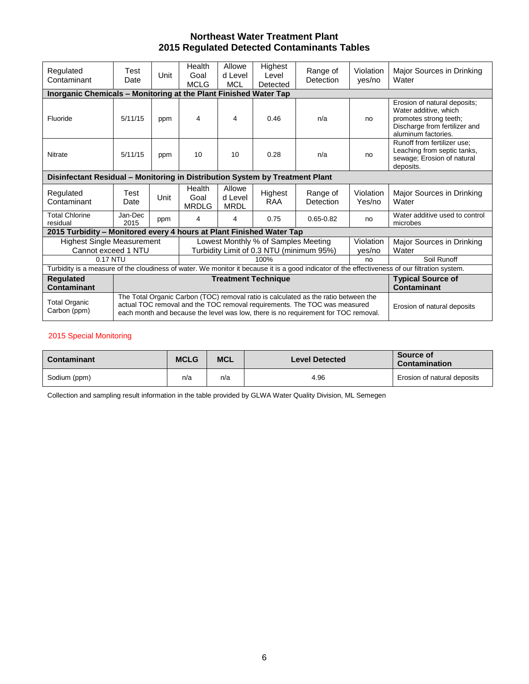# **Northeast Water Treatment Plant 2015 Regulated Detected Contaminants Tables**

| Regulated<br>Contaminant                                                     | Test<br>Date                                                                 | Unit                                                                                                                                                                                                                                                                                  | Health<br>Goal<br><b>MCLG</b>                                                   | Allowe<br>d Level<br><b>MCL</b>  | Highest<br>Level<br>Detected       | Range of<br>Detection | Violation<br>yes/no | Major Sources in Drinking<br>Water                                                                                                             |  |  |  |
|------------------------------------------------------------------------------|------------------------------------------------------------------------------|---------------------------------------------------------------------------------------------------------------------------------------------------------------------------------------------------------------------------------------------------------------------------------------|---------------------------------------------------------------------------------|----------------------------------|------------------------------------|-----------------------|---------------------|------------------------------------------------------------------------------------------------------------------------------------------------|--|--|--|
|                                                                              | Inorganic Chemicals - Monitoring at the Plant Finished Water Tap             |                                                                                                                                                                                                                                                                                       |                                                                                 |                                  |                                    |                       |                     |                                                                                                                                                |  |  |  |
| Fluoride                                                                     | 5/11/15                                                                      | ppm                                                                                                                                                                                                                                                                                   | 4                                                                               | 4                                | 0.46                               | n/a                   | no                  | Erosion of natural deposits;<br>Water additive, which<br>promotes strong teeth;<br>Discharge from fertilizer and<br>aluminum factories.        |  |  |  |
| Nitrate                                                                      | 5/11/15                                                                      | ppm                                                                                                                                                                                                                                                                                   | 10                                                                              | 10                               | 0.28                               | n/a                   | no                  | Runoff from fertilizer use:<br>Leaching from septic tanks,<br>sewage; Erosion of natural<br>deposits.                                          |  |  |  |
| Disinfectant Residual - Monitoring in Distribution System by Treatment Plant |                                                                              |                                                                                                                                                                                                                                                                                       |                                                                                 |                                  |                                    |                       |                     |                                                                                                                                                |  |  |  |
| Regulated<br>Contaminant                                                     | Test<br>Date                                                                 | Unit                                                                                                                                                                                                                                                                                  | Health<br>Goal<br><b>MRDLG</b>                                                  | Allowe<br>d Level<br><b>MRDL</b> | Highest<br><b>RAA</b>              | Range of<br>Detection | Violation<br>Yes/no | Major Sources in Drinking<br>Water                                                                                                             |  |  |  |
| <b>Total Chlorine</b><br>residual                                            | Jan-Dec<br>2015                                                              | ppm                                                                                                                                                                                                                                                                                   | 4                                                                               | 4                                | 0.75                               | $0.65 - 0.82$         | no                  | Water additive used to control<br>microbes                                                                                                     |  |  |  |
| 2015 Turbidity – Monitored every 4 hours at Plant Finished Water Tap         |                                                                              |                                                                                                                                                                                                                                                                                       |                                                                                 |                                  |                                    |                       |                     |                                                                                                                                                |  |  |  |
| <b>Highest Single Measurement</b><br>Cannot exceed 1 NTU                     |                                                                              |                                                                                                                                                                                                                                                                                       | Lowest Monthly % of Samples Meeting<br>Turbidity Limit of 0.3 NTU (minimum 95%) | Violation<br>yes/no              | Major Sources in Drinking<br>Water |                       |                     |                                                                                                                                                |  |  |  |
| 0.17 NTU                                                                     |                                                                              |                                                                                                                                                                                                                                                                                       |                                                                                 |                                  | 100%                               |                       | no                  | Soil Runoff                                                                                                                                    |  |  |  |
|                                                                              |                                                                              |                                                                                                                                                                                                                                                                                       |                                                                                 |                                  |                                    |                       |                     | Turbidity is a measure of the cloudiness of water. We monitor it because it is a good indicator of the effectiveness of our filtration system. |  |  |  |
| <b>Regulated</b><br><b>Contaminant</b>                                       | <b>Treatment Technique</b><br><b>Typical Source of</b><br><b>Contaminant</b> |                                                                                                                                                                                                                                                                                       |                                                                                 |                                  |                                    |                       |                     |                                                                                                                                                |  |  |  |
| <b>Total Organic</b><br>Carbon (ppm)                                         |                                                                              | The Total Organic Carbon (TOC) removal ratio is calculated as the ratio between the<br>actual TOC removal and the TOC removal requirements. The TOC was measured<br>Erosion of natural deposits<br>each month and because the level was low, there is no requirement for TOC removal. |                                                                                 |                                  |                                    |                       |                     |                                                                                                                                                |  |  |  |

#### 2015 Special Monitoring

| Contaminant  | <b>MCLG</b> | <b>MCL</b> | <b>Level Detected</b> | Source of<br>Contamination  |
|--------------|-------------|------------|-----------------------|-----------------------------|
| Sodium (ppm) | n/a         | n/a        | 4.96                  | Erosion of natural deposits |

Collection and sampling result information in the table provided by GLWA Water Quality Division, ML Semegen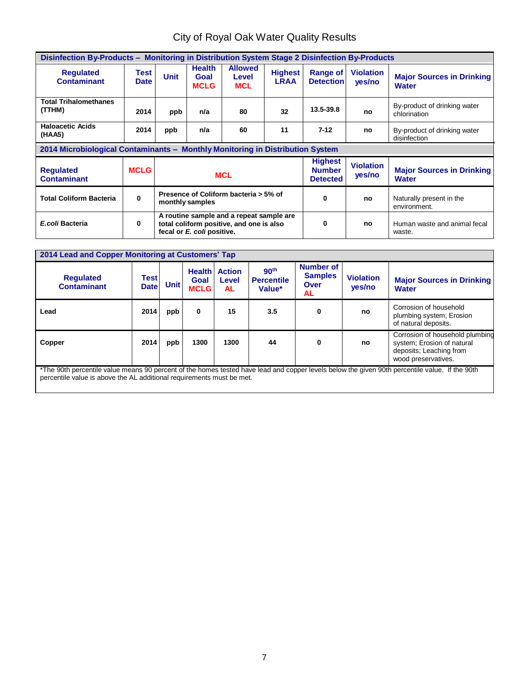# City of Royal Oak Water Quality Results

| Disinfection By-Products - Monitoring in Distribution System Stage 2 Disinfection By-Products |                     |             |                                      |                                                                                      |                               |                                                    |                            |                                                  |  |
|-----------------------------------------------------------------------------------------------|---------------------|-------------|--------------------------------------|--------------------------------------------------------------------------------------|-------------------------------|----------------------------------------------------|----------------------------|--------------------------------------------------|--|
| <b>Regulated</b><br><b>Contaminant</b>                                                        | Test<br><b>Date</b> | <b>Unit</b> | <b>Health</b><br>Goal<br><b>MCLG</b> | <b>Allowed</b><br>Level<br><b>MCL</b>                                                | <b>Highest</b><br><b>LRAA</b> | Range of<br><b>Detection</b>                       | <b>Violation</b><br>yes/no | <b>Major Sources in Drinking</b><br><b>Water</b> |  |
| <b>Total Trihalomethanes</b><br>(TTHM)                                                        | 2014                | ppb         | n/a                                  | 80                                                                                   | 32                            | $13.5 - 39.8$                                      | no                         | By-product of drinking water<br>chlorination     |  |
| <b>Haloacetic Acids</b><br>(HAA5)                                                             | 2014                | ppb         | n/a                                  | 60                                                                                   | 11                            | $7 - 12$                                           | no                         | By-product of drinking water<br>disinfection     |  |
| 2014 Microbiological Contaminants - Monthly Monitoring in Distribution System                 |                     |             |                                      |                                                                                      |                               |                                                    |                            |                                                  |  |
| <b>Requlated</b><br><b>Contaminant</b>                                                        | <b>MCLG</b>         |             |                                      | <b>MCL</b>                                                                           |                               | <b>Highest</b><br><b>Number</b><br><b>Detected</b> | <b>Violation</b><br>yes/no | <b>Major Sources in Drinking</b><br><b>Water</b> |  |
| <b>Total Coliform Bacteria</b>                                                                | $\bf{0}$            |             | monthly samples                      | Presence of Coliform bacteria > 5% of                                                |                               | $\bf{0}$                                           | no                         | Naturally present in the<br>environment.         |  |
| E.coli Bacteria                                                                               | 0                   |             | fecal or E. coli positive.           | A routine sample and a repeat sample are<br>total coliform positive, and one is also |                               | $\Omega$                                           | no                         | Human waste and animal fecal<br>waste.           |  |

| 2014 Lead and Copper Monitoring at Customers' Tap<br><b>Requlated</b><br><b>Contaminant</b>                                                                                                                             | <b>Test</b><br><b>Date</b> | <b>Unit</b> | <b>Health</b><br>Goal<br><b>MCLG</b> | <b>Action</b><br>Level<br><b>AL</b> | 90 <sup>th</sup><br><b>Percentile</b><br>Value* | <b>Number of</b><br><b>Samples</b><br>Over<br>AL | <b>Violation</b><br>yes/no | <b>Major Sources in Drinking</b><br><b>Water</b>                                                                |  |
|-------------------------------------------------------------------------------------------------------------------------------------------------------------------------------------------------------------------------|----------------------------|-------------|--------------------------------------|-------------------------------------|-------------------------------------------------|--------------------------------------------------|----------------------------|-----------------------------------------------------------------------------------------------------------------|--|
| Lead                                                                                                                                                                                                                    | 2014                       | ppb         | $\mathbf 0$                          | 15                                  | 3.5                                             | 0                                                | no                         | Corrosion of household<br>plumbing system; Erosion<br>of natural deposits.                                      |  |
| Copper                                                                                                                                                                                                                  | 2014                       | ppb         | 1300                                 | 1300                                | 44                                              | 0                                                | no                         | Corrosion of household plumbing<br>system; Erosion of natural<br>deposits; Leaching from<br>wood preservatives. |  |
| *The 90th percentile value means 90 percent of the homes tested have lead and copper levels below the given 90th percentile value. If the 90th<br>percentile value is above the AL additional requirements must be met. |                            |             |                                      |                                     |                                                 |                                                  |                            |                                                                                                                 |  |